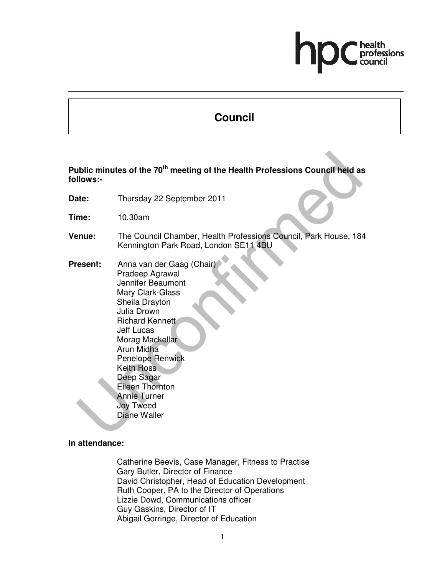# **Council**

**Public minutes of the 70th meeting of the Health Professions Council held as follows:-** 

- **Date:** Thursday 22 September 2011
- **Time:** 10.30am
- **Venue:** The Council Chamber, Health Professions Council, Park House, 184 Kennington Park Road, London SE11 4BU
- **Present:** Anna van der Gaag (Chair) Pradeep Agrawal Jennifer Beaumont Mary Clark-Glass Sheila Drayton Julia Drown Richard Kennett Jeff Lucas Morag Mackellar Arun Midha Penelope Renwick Keith Ross Deep Sagar Eileen Thornton Annie Turner Joy Tweed Diane Waller

# **In attendance:**

Catherine Beevis, Case Manager, Fitness to Practise Gary Butler, Director of Finance David Christopher, Head of Education Development Ruth Cooper, PA to the Director of Operations Lizzie Dowd, Communications officer Guy Gaskins, Director of IT Abigail Gorringe, Director of Education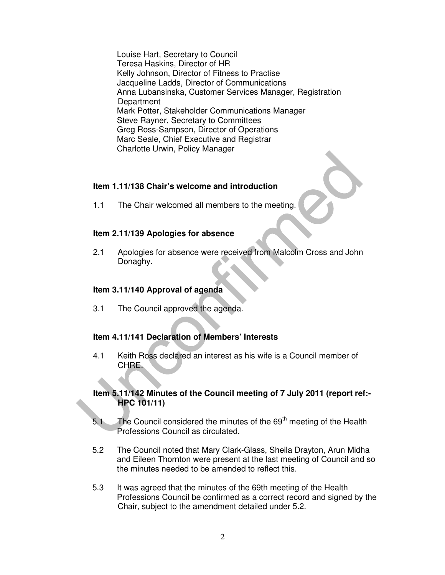Louise Hart, Secretary to Council Teresa Haskins, Director of HR Kelly Johnson, Director of Fitness to Practise Jacqueline Ladds, Director of Communications Anna Lubansinska, Customer Services Manager, Registration **Department** Mark Potter, Stakeholder Communications Manager Steve Rayner, Secretary to Committees Greg Ross-Sampson, Director of Operations Marc Seale, Chief Executive and Registrar Charlotte Urwin, Policy Manager

#### **Item 1.11/138 Chair's welcome and introduction**

1.1 The Chair welcomed all members to the meeting.

#### **Item 2.11/139 Apologies for absence**

2.1 Apologies for absence were received from Malcolm Cross and John Donaghy.

#### **Item 3.11/140 Approval of agenda**

3.1 The Council approved the agenda.

### **Item 4.11/141 Declaration of Members' Interests**

4.1 Keith Ross declared an interest as his wife is a Council member of CHRE.

#### **Item 5.11/142 Minutes of the Council meeting of 7 July 2011 (report ref:- HPC 101/11)**

- 5.1 The Council considered the minutes of the  $69<sup>th</sup>$  meeting of the Health Professions Council as circulated.
- 5.2 The Council noted that Mary Clark-Glass, Sheila Drayton, Arun Midha and Eileen Thornton were present at the last meeting of Council and so the minutes needed to be amended to reflect this.
- 5.3 It was agreed that the minutes of the 69th meeting of the Health Professions Council be confirmed as a correct record and signed by the Chair, subject to the amendment detailed under 5.2.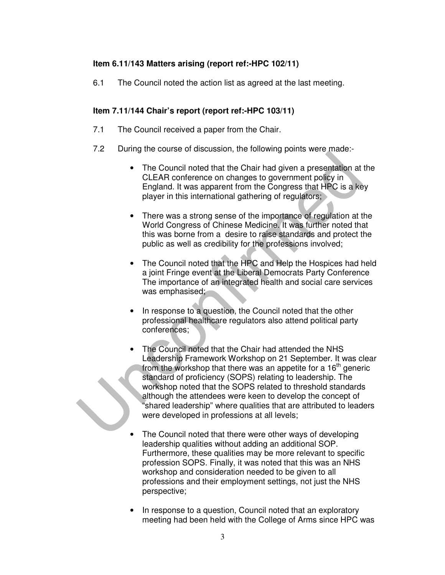# **Item 6.11/143 Matters arising (report ref:-HPC 102/11)**

6.1 The Council noted the action list as agreed at the last meeting.

# **Item 7.11/144 Chair's report (report ref:-HPC 103/11)**

- 7.1 The Council received a paper from the Chair.
- 7.2 During the course of discussion, the following points were made:-
	- The Council noted that the Chair had given a presentation at the CLEAR conference on changes to government policy in England. It was apparent from the Congress that HPC is a key player in this international gathering of regulators;
	- There was a strong sense of the importance of regulation at the World Congress of Chinese Medicine. It was further noted that this was borne from a desire to raise standards and protect the public as well as credibility for the professions involved;
	- The Council noted that the HPC and Help the Hospices had held a joint Fringe event at the Liberal Democrats Party Conference The importance of an integrated health and social care services was emphasised;
	- In response to a question, the Council noted that the other professional healthcare regulators also attend political party conferences;
	- The Council noted that the Chair had attended the NHS Leadership Framework Workshop on 21 September. It was clear from the workshop that there was an appetite for a  $16<sup>th</sup>$  generic standard of proficiency (SOPS) relating to leadership. The workshop noted that the SOPS related to threshold standards although the attendees were keen to develop the concept of "shared leadership" where qualities that are attributed to leaders were developed in professions at all levels;
	- The Council noted that there were other ways of developing leadership qualities without adding an additional SOP. Furthermore, these qualities may be more relevant to specific profession SOPS. Finally, it was noted that this was an NHS workshop and consideration needed to be given to all professions and their employment settings, not just the NHS perspective;
	- In response to a question, Council noted that an exploratory meeting had been held with the College of Arms since HPC was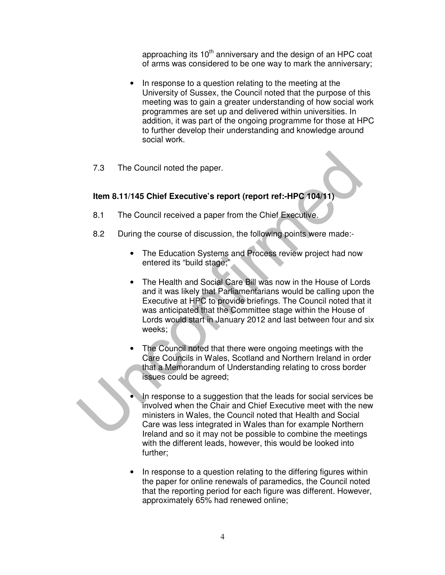approaching its 10<sup>th</sup> anniversary and the design of an HPC coat of arms was considered to be one way to mark the anniversary;

- In response to a question relating to the meeting at the University of Sussex, the Council noted that the purpose of this meeting was to gain a greater understanding of how social work programmes are set up and delivered within universities. In addition, it was part of the ongoing programme for those at HPC to further develop their understanding and knowledge around social work.
- 7.3 The Council noted the paper.

### **Item 8.11/145 Chief Executive's report (report ref:-HPC 104/11)**

- 8.1 The Council received a paper from the Chief Executive.
- 8.2 During the course of discussion, the following points were made:-
	- The Education Systems and Process review project had now entered its "build stage;"
	- The Health and Social Care Bill was now in the House of Lords and it was likely that Parliamentarians would be calling upon the Executive at HPC to provide briefings. The Council noted that it was anticipated that the Committee stage within the House of Lords would start in January 2012 and last between four and six weeks;
	- The Council noted that there were ongoing meetings with the Care Councils in Wales, Scotland and Northern Ireland in order that a Memorandum of Understanding relating to cross border issues could be agreed;
	- In response to a suggestion that the leads for social services be involved when the Chair and Chief Executive meet with the new ministers in Wales, the Council noted that Health and Social Care was less integrated in Wales than for example Northern Ireland and so it may not be possible to combine the meetings with the different leads, however, this would be looked into further;
	- In response to a question relating to the differing figures within the paper for online renewals of paramedics, the Council noted that the reporting period for each figure was different. However, approximately 65% had renewed online;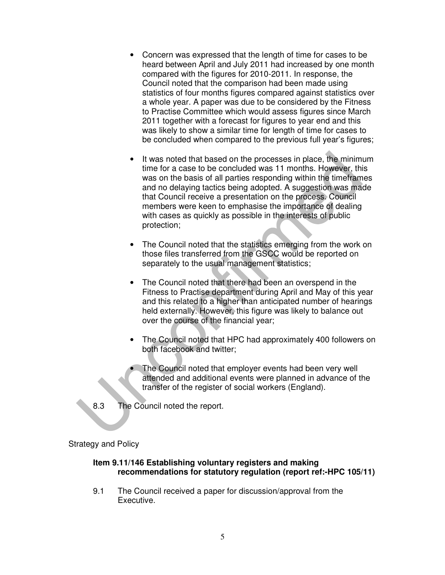- Concern was expressed that the length of time for cases to be heard between April and July 2011 had increased by one month compared with the figures for 2010-2011. In response, the Council noted that the comparison had been made using statistics of four months figures compared against statistics over a whole year. A paper was due to be considered by the Fitness to Practise Committee which would assess figures since March 2011 together with a forecast for figures to year end and this was likely to show a similar time for length of time for cases to be concluded when compared to the previous full year's figures;
- It was noted that based on the processes in place, the minimum time for a case to be concluded was 11 months. However, this was on the basis of all parties responding within the timeframes and no delaying tactics being adopted. A suggestion was made that Council receive a presentation on the process. Council members were keen to emphasise the importance of dealing with cases as quickly as possible in the interests of public protection;
- The Council noted that the statistics emerging from the work on those files transferred from the GSCC would be reported on separately to the usual management statistics;
- The Council noted that there had been an overspend in the Fitness to Practise department during April and May of this year and this related to a higher than anticipated number of hearings held externally. However, this figure was likely to balance out over the course of the financial year;
- The Council noted that HPC had approximately 400 followers on both facebook and twitter;
- The Council noted that employer events had been very well attended and additional events were planned in advance of the transfer of the register of social workers (England).
- 8.3 The Council noted the report.

### Strategy and Policy

#### **Item 9.11/146 Establishing voluntary registers and making recommendations for statutory regulation (report ref:-HPC 105/11)**

9.1 The Council received a paper for discussion/approval from the Executive.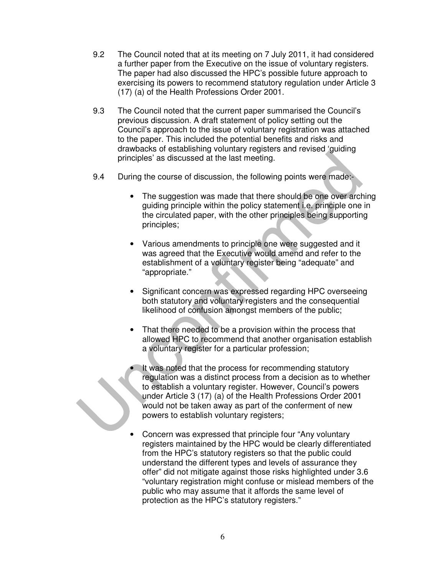- 9.2 The Council noted that at its meeting on 7 July 2011, it had considered a further paper from the Executive on the issue of voluntary registers. The paper had also discussed the HPC's possible future approach to exercising its powers to recommend statutory regulation under Article 3 (17) (a) of the Health Professions Order 2001.
- 9.3 The Council noted that the current paper summarised the Council's previous discussion. A draft statement of policy setting out the Council's approach to the issue of voluntary registration was attached to the paper. This included the potential benefits and risks and drawbacks of establishing voluntary registers and revised 'guiding principles' as discussed at the last meeting.
- 9.4 During the course of discussion, the following points were made:-
	- The suggestion was made that there should be one over arching guiding principle within the policy statement i.e. principle one in the circulated paper, with the other principles being supporting principles;
	- Various amendments to principle one were suggested and it was agreed that the Executive would amend and refer to the establishment of a voluntary register being "adequate" and "appropriate."
	- Significant concern was expressed regarding HPC overseeing both statutory and voluntary registers and the consequential likelihood of confusion amongst members of the public;
	- That there needed to be a provision within the process that allowed HPC to recommend that another organisation establish a voluntary register for a particular profession;
	- It was noted that the process for recommending statutory regulation was a distinct process from a decision as to whether to establish a voluntary register. However, Council's powers under Article 3 (17) (a) of the Health Professions Order 2001 would not be taken away as part of the conferment of new powers to establish voluntary registers;
	- Concern was expressed that principle four "Any voluntary registers maintained by the HPC would be clearly differentiated from the HPC's statutory registers so that the public could understand the different types and levels of assurance they offer" did not mitigate against those risks highlighted under 3.6 "voluntary registration might confuse or mislead members of the public who may assume that it affords the same level of protection as the HPC's statutory registers."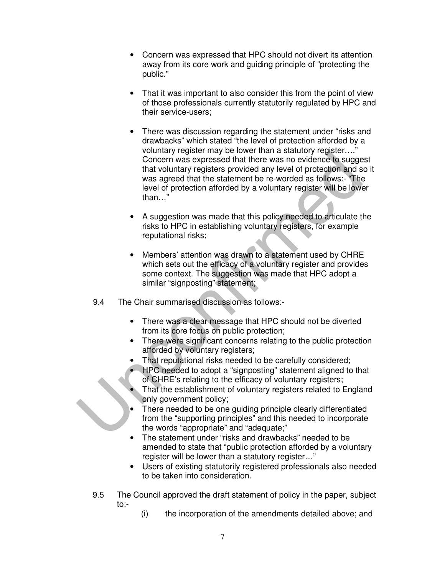- Concern was expressed that HPC should not divert its attention away from its core work and guiding principle of "protecting the public."
- That it was important to also consider this from the point of view of those professionals currently statutorily regulated by HPC and their service-users;
- There was discussion regarding the statement under "risks and drawbacks" which stated "the level of protection afforded by a voluntary register may be lower than a statutory register…." Concern was expressed that there was no evidence to suggest that voluntary registers provided any level of protection and so it was agreed that the statement be re-worded as follows:- "The level of protection afforded by a voluntary register will be lower than…"
- A suggestion was made that this policy needed to articulate the risks to HPC in establishing voluntary registers, for example reputational risks;
- Members' attention was drawn to a statement used by CHRE which sets out the efficacy of a voluntary register and provides some context. The suggestion was made that HPC adopt a similar "signposting" statement;
- 9.4 The Chair summarised discussion as follows:-
	- There was a clear message that HPC should not be diverted from its core focus on public protection;
	- There were significant concerns relating to the public protection afforded by voluntary registers;
	- That reputational risks needed to be carefully considered;
	- HPC needed to adopt a "signposting" statement aligned to that of CHRE's relating to the efficacy of voluntary registers;
	- That the establishment of voluntary registers related to England only government policy;
	- There needed to be one guiding principle clearly differentiated from the "supporting principles" and this needed to incorporate the words "appropriate" and "adequate;"
	- The statement under "risks and drawbacks" needed to be amended to state that "public protection afforded by a voluntary register will be lower than a statutory register…"
	- Users of existing statutorily registered professionals also needed to be taken into consideration.
- 9.5 The Council approved the draft statement of policy in the paper, subject to:-
	- (i) the incorporation of the amendments detailed above; and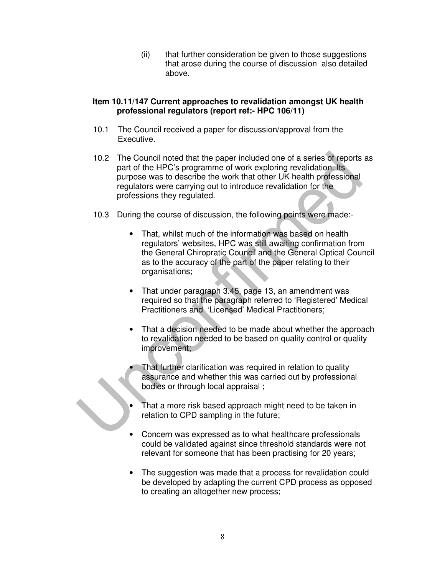(ii) that further consideration be given to those suggestions that arose during the course of discussion also detailed above.

### **Item 10.11/147 Current approaches to revalidation amongst UK health professional regulators (report ref:- HPC 106/11)**

- 10.1 The Council received a paper for discussion/approval from the Executive.
- 10.2 The Council noted that the paper included one of a series of reports as part of the HPC's programme of work exploring revalidation. Its purpose was to describe the work that other UK health professional regulators were carrying out to introduce revalidation for the professions they regulated.
- 10.3 During the course of discussion, the following points were made:-
	- That, whilst much of the information was based on health regulators' websites, HPC was still awaiting confirmation from the General Chiropratic Council and the General Optical Council as to the accuracy of the part of the paper relating to their organisations;
	- That under paragraph 3.45, page 13, an amendment was required so that the paragraph referred to 'Registered' Medical Practitioners and 'Licensed' Medical Practitioners;
	- That a decision needed to be made about whether the approach to revalidation needed to be based on quality control or quality improvement;
	- That further clarification was required in relation to quality assurance and whether this was carried out by professional bodies or through local appraisal ;
	- That a more risk based approach might need to be taken in relation to CPD sampling in the future;
	- Concern was expressed as to what healthcare professionals could be validated against since threshold standards were not relevant for someone that has been practising for 20 years;
	- The suggestion was made that a process for revalidation could be developed by adapting the current CPD process as opposed to creating an altogether new process;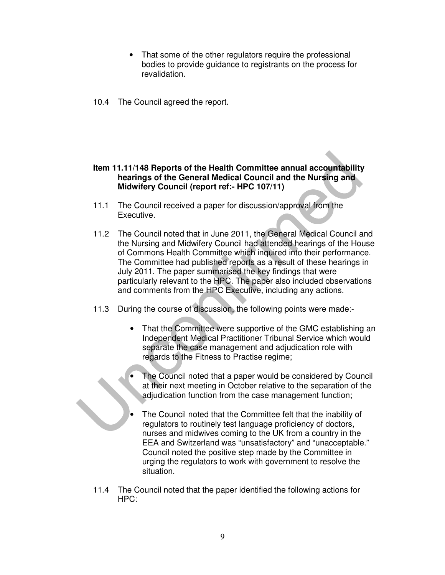- That some of the other regulators require the professional bodies to provide guidance to registrants on the process for revalidation.
- 10.4 The Council agreed the report.

### **Item 11.11/148 Reports of the Health Committee annual accountability hearings of the General Medical Council and the Nursing and Midwifery Council (report ref:- HPC 107/11)**

- 11.1 The Council received a paper for discussion/approval from the Executive.
- 11.2 The Council noted that in June 2011, the General Medical Council and the Nursing and Midwifery Council had attended hearings of the House of Commons Health Committee which inquired into their performance. The Committee had published reports as a result of these hearings in July 2011. The paper summarised the key findings that were particularly relevant to the HPC. The paper also included observations and comments from the HPC Executive, including any actions.
- 11.3 During the course of discussion, the following points were made:-
	- That the Committee were supportive of the GMC establishing an Independent Medical Practitioner Tribunal Service which would separate the case management and adjudication role with regards to the Fitness to Practise regime;
	- The Council noted that a paper would be considered by Council at their next meeting in October relative to the separation of the adjudication function from the case management function;
	- The Council noted that the Committee felt that the inability of regulators to routinely test language proficiency of doctors, nurses and midwives coming to the UK from a country in the EEA and Switzerland was "unsatisfactory" and "unacceptable." Council noted the positive step made by the Committee in urging the regulators to work with government to resolve the situation.
- 11.4 The Council noted that the paper identified the following actions for HPC: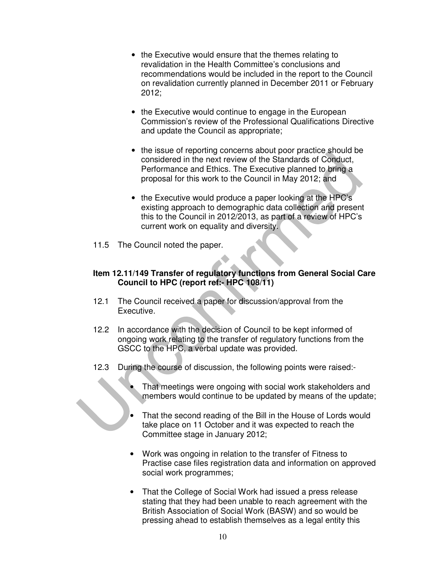- the Executive would ensure that the themes relating to revalidation in the Health Committee's conclusions and recommendations would be included in the report to the Council on revalidation currently planned in December 2011 or February 2012;
- the Executive would continue to engage in the European Commission's review of the Professional Qualifications Directive and update the Council as appropriate;
- the issue of reporting concerns about poor practice should be considered in the next review of the Standards of Conduct, Performance and Ethics. The Executive planned to bring a proposal for this work to the Council in May 2012; and
- the Executive would produce a paper looking at the HPC's existing approach to demographic data collection and present this to the Council in 2012/2013, as part of a review of HPC's current work on equality and diversity.
- 11.5 The Council noted the paper.

### **Item 12.11/149 Transfer of regulatory functions from General Social Care Council to HPC (report ref:- HPC 108/11)**

- 12.1 The Council received a paper for discussion/approval from the Executive.
- 12.2 In accordance with the decision of Council to be kept informed of ongoing work relating to the transfer of regulatory functions from the GSCC to the HPC, a verbal update was provided.
- 12.3 During the course of discussion, the following points were raised:-
	- That meetings were ongoing with social work stakeholders and members would continue to be updated by means of the update;
	- That the second reading of the Bill in the House of Lords would take place on 11 October and it was expected to reach the Committee stage in January 2012;
	- Work was ongoing in relation to the transfer of Fitness to Practise case files registration data and information on approved social work programmes;
	- That the College of Social Work had issued a press release stating that they had been unable to reach agreement with the British Association of Social Work (BASW) and so would be pressing ahead to establish themselves as a legal entity this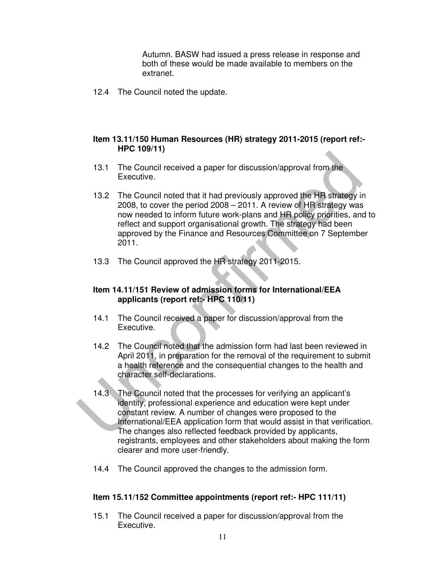Autumn. BASW had issued a press release in response and both of these would be made available to members on the extranet.

12.4 The Council noted the update.

#### **Item 13.11/150 Human Resources (HR) strategy 2011-2015 (report ref:- HPC 109/11)**

- 13.1 The Council received a paper for discussion/approval from the Executive.
- 13.2 The Council noted that it had previously approved the HR strategy in 2008, to cover the period 2008 – 2011. A review of HR strategy was now needed to inform future work-plans and HR policy priorities, and to reflect and support organisational growth. The strategy had been approved by the Finance and Resources Committee on 7 September 2011.
- 13.3 The Council approved the HR strategy 2011-2015.

# **Item 14.11/151 Review of admission forms for International/EEA applicants (report ref:- HPC 110/11)**

- 14.1 The Council received a paper for discussion/approval from the Executive.
- 14.2 The Council noted that the admission form had last been reviewed in April 2011, in preparation for the removal of the requirement to submit a health reference and the consequential changes to the health and character self-declarations.
- 14.3 The Council noted that the processes for verifying an applicant's identity, professional experience and education were kept under constant review. A number of changes were proposed to the International/EEA application form that would assist in that verification. The changes also reflected feedback provided by applicants, registrants, employees and other stakeholders about making the form clearer and more user-friendly.
- 14.4 The Council approved the changes to the admission form.

### **Item 15.11/152 Committee appointments (report ref:- HPC 111/11)**

15.1 The Council received a paper for discussion/approval from the Executive.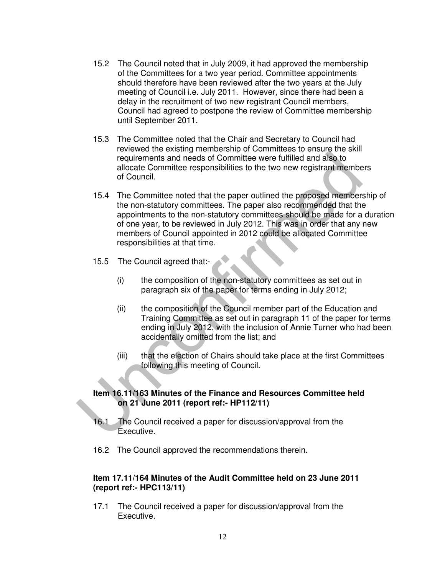- 15.2 The Council noted that in July 2009, it had approved the membership of the Committees for a two year period. Committee appointments should therefore have been reviewed after the two years at the July meeting of Council i.e. July 2011. However, since there had been a delay in the recruitment of two new registrant Council members, Council had agreed to postpone the review of Committee membership until September 2011.
- 15.3 The Committee noted that the Chair and Secretary to Council had reviewed the existing membership of Committees to ensure the skill requirements and needs of Committee were fulfilled and also to allocate Committee responsibilities to the two new registrant members of Council.
- 15.4 The Committee noted that the paper outlined the proposed membership of the non-statutory committees. The paper also recommended that the appointments to the non-statutory committees should be made for a duration of one year, to be reviewed in July 2012. This was in order that any new members of Council appointed in 2012 could be allocated Committee responsibilities at that time.
- 15.5 The Council agreed that:-
	- (i) the composition of the non-statutory committees as set out in paragraph six of the paper for terms ending in July 2012;
	- (ii) the composition of the Council member part of the Education and Training Committee as set out in paragraph 11 of the paper for terms ending in July 2012, with the inclusion of Annie Turner who had been accidentally omitted from the list; and
	- (iii) that the election of Chairs should take place at the first Committees following this meeting of Council.

#### **Item 16.11/163 Minutes of the Finance and Resources Committee held on 21 June 2011 (report ref:- HP112/11)**

- 16.1 The Council received a paper for discussion/approval from the Executive.
- 16.2 The Council approved the recommendations therein.

#### **Item 17.11/164 Minutes of the Audit Committee held on 23 June 2011 (report ref:- HPC113/11)**

17.1 The Council received a paper for discussion/approval from the Executive.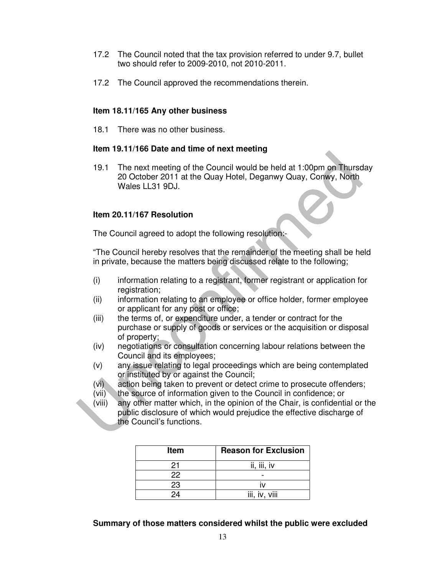- 17.2 The Council noted that the tax provision referred to under 9.7, bullet two should refer to 2009-2010, not 2010-2011.
- 17.2 The Council approved the recommendations therein.

#### **Item 18.11/165 Any other business**

18.1 There was no other business.

#### **Item 19.11/166 Date and time of next meeting**

19.1 The next meeting of the Council would be held at 1:00pm on Thursday 20 October 2011 at the Quay Hotel, Deganwy Quay, Conwy, North Wales LL31 9DJ.

#### **Item 20.11/167 Resolution**

The Council agreed to adopt the following resolution:-

"The Council hereby resolves that the remainder of the meeting shall be held in private, because the matters being discussed relate to the following;

- (i) information relating to a registrant, former registrant or application for registration;
- (ii) information relating to an employee or office holder, former employee or applicant for any post or office;
- (iii) the terms of, or expenditure under, a tender or contract for the purchase or supply of goods or services or the acquisition or disposal of property;
- (iv) negotiations or consultation concerning labour relations between the Council and its employees;
- (v) any issue relating to legal proceedings which are being contemplated or instituted by or against the Council;
- (vi) action being taken to prevent or detect crime to prosecute offenders;
- (vii) the source of information given to the Council in confidence; or
- (viii) any other matter which, in the opinion of the Chair, is confidential or the public disclosure of which would prejudice the effective discharge of the Council's functions.

| <b>Item</b> | <b>Reason for Exclusion</b> |
|-------------|-----------------------------|
| 21          | ii, iii, iv                 |
| 22          |                             |
| 23          |                             |
| 24          | iii, iv, viii               |

**Summary of those matters considered whilst the public were excluded**